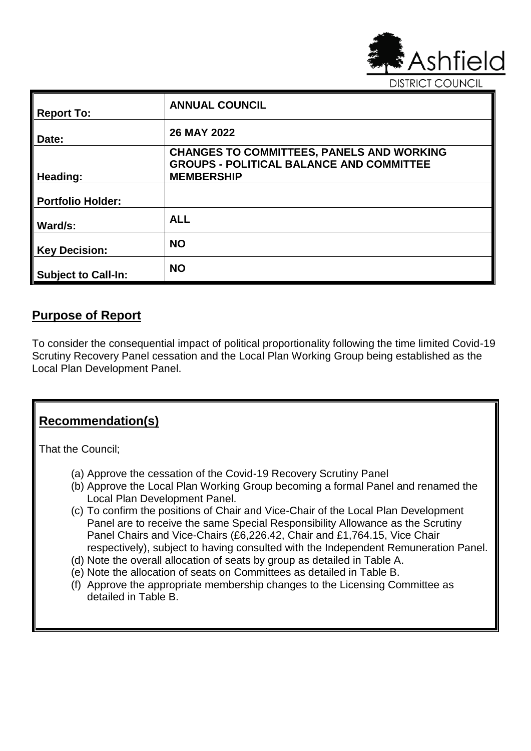

| <b>Report To:</b>          | <b>ANNUAL COUNCIL</b>                                                                                                    |
|----------------------------|--------------------------------------------------------------------------------------------------------------------------|
| Date:                      | 26 MAY 2022                                                                                                              |
| Heading:                   | <b>CHANGES TO COMMITTEES, PANELS AND WORKING</b><br><b>GROUPS - POLITICAL BALANCE AND COMMITTEE</b><br><b>MEMBERSHIP</b> |
| <b>Portfolio Holder:</b>   |                                                                                                                          |
| Ward/s:                    | <b>ALL</b>                                                                                                               |
| <b>Key Decision:</b>       | <b>NO</b>                                                                                                                |
| <b>Subject to Call-In:</b> | <b>NO</b>                                                                                                                |

## **Purpose of Report**

To consider the consequential impact of political proportionality following the time limited Covid-19 Scrutiny Recovery Panel cessation and the Local Plan Working Group being established as the Local Plan Development Panel.

## **Recommendation(s)**

That the Council;

- (a) Approve the cessation of the Covid-19 Recovery Scrutiny Panel
- (b) Approve the Local Plan Working Group becoming a formal Panel and renamed the Local Plan Development Panel.
- (c) To confirm the positions of Chair and Vice-Chair of the Local Plan Development Panel are to receive the same Special Responsibility Allowance as the Scrutiny Panel Chairs and Vice-Chairs (£6,226.42, Chair and £1,764.15, Vice Chair respectively), subject to having consulted with the Independent Remuneration Panel.
- (d) Note the overall allocation of seats by group as detailed in Table A.
- (e) Note the allocation of seats on Committees as detailed in Table B.
- (f) Approve the appropriate membership changes to the Licensing Committee as detailed in Table B.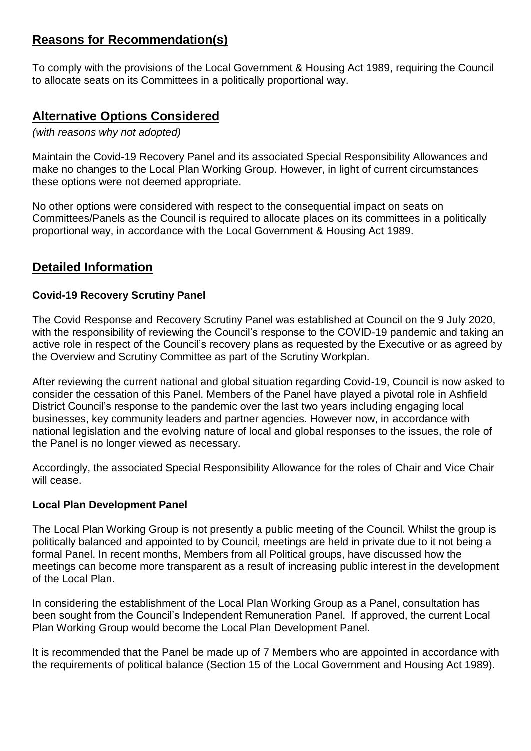## **Reasons for Recommendation(s)**

To comply with the provisions of the Local Government & Housing Act 1989, requiring the Council to allocate seats on its Committees in a politically proportional way.

## **Alternative Options Considered**

*(with reasons why not adopted)*

Maintain the Covid-19 Recovery Panel and its associated Special Responsibility Allowances and make no changes to the Local Plan Working Group. However, in light of current circumstances these options were not deemed appropriate.

No other options were considered with respect to the consequential impact on seats on Committees/Panels as the Council is required to allocate places on its committees in a politically proportional way, in accordance with the Local Government & Housing Act 1989.

## **Detailed Information**

#### **Covid-19 Recovery Scrutiny Panel**

The Covid Response and Recovery Scrutiny Panel was established at Council on the 9 July 2020, with the responsibility of reviewing the Council's response to the COVID-19 pandemic and taking an active role in respect of the Council's recovery plans as requested by the Executive or as agreed by the Overview and Scrutiny Committee as part of the Scrutiny Workplan.

After reviewing the current national and global situation regarding Covid-19, Council is now asked to consider the cessation of this Panel. Members of the Panel have played a pivotal role in Ashfield District Council's response to the pandemic over the last two years including engaging local businesses, key community leaders and partner agencies. However now, in accordance with national legislation and the evolving nature of local and global responses to the issues, the role of the Panel is no longer viewed as necessary.

Accordingly, the associated Special Responsibility Allowance for the roles of Chair and Vice Chair will cease.

#### **Local Plan Development Panel**

The Local Plan Working Group is not presently a public meeting of the Council. Whilst the group is politically balanced and appointed to by Council, meetings are held in private due to it not being a formal Panel. In recent months, Members from all Political groups, have discussed how the meetings can become more transparent as a result of increasing public interest in the development of the Local Plan.

In considering the establishment of the Local Plan Working Group as a Panel, consultation has been sought from the Council's Independent Remuneration Panel. If approved, the current Local Plan Working Group would become the Local Plan Development Panel.

It is recommended that the Panel be made up of 7 Members who are appointed in accordance with the requirements of political balance (Section 15 of the Local Government and Housing Act 1989).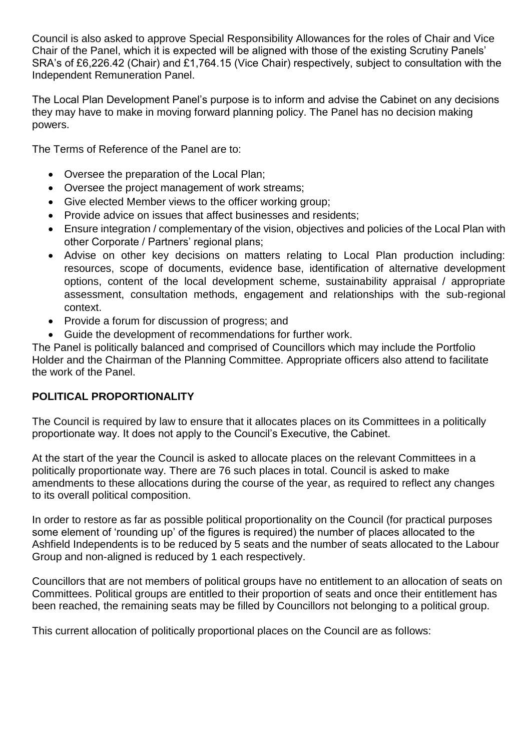Council is also asked to approve Special Responsibility Allowances for the roles of Chair and Vice Chair of the Panel, which it is expected will be aligned with those of the existing Scrutiny Panels' SRA's of £6,226.42 (Chair) and £1,764.15 (Vice Chair) respectively, subject to consultation with the Independent Remuneration Panel.

The Local Plan Development Panel's purpose is to inform and advise the Cabinet on any decisions they may have to make in moving forward planning policy. The Panel has no decision making powers.

The Terms of Reference of the Panel are to:

- Oversee the preparation of the Local Plan;
- Oversee the project management of work streams;
- Give elected Member views to the officer working group;
- Provide advice on issues that affect businesses and residents;
- Ensure integration / complementary of the vision, objectives and policies of the Local Plan with other Corporate / Partners' regional plans;
- Advise on other key decisions on matters relating to Local Plan production including: resources, scope of documents, evidence base, identification of alternative development options, content of the local development scheme, sustainability appraisal / appropriate assessment, consultation methods, engagement and relationships with the sub-regional context.
- Provide a forum for discussion of progress; and
- Guide the development of recommendations for further work.

The Panel is politically balanced and comprised of Councillors which may include the Portfolio Holder and the Chairman of the Planning Committee. Appropriate officers also attend to facilitate the work of the Panel.

#### **POLITICAL PROPORTIONALITY**

The Council is required by law to ensure that it allocates places on its Committees in a politically proportionate way. It does not apply to the Council's Executive, the Cabinet.

At the start of the year the Council is asked to allocate places on the relevant Committees in a politically proportionate way. There are 76 such places in total. Council is asked to make amendments to these allocations during the course of the year, as required to reflect any changes to its overall political composition.

In order to restore as far as possible political proportionality on the Council (for practical purposes some element of 'rounding up' of the figures is required) the number of places allocated to the Ashfield Independents is to be reduced by 5 seats and the number of seats allocated to the Labour Group and non-aligned is reduced by 1 each respectively.

Councillors that are not members of political groups have no entitlement to an allocation of seats on Committees. Political groups are entitled to their proportion of seats and once their entitlement has been reached, the remaining seats may be filled by Councillors not belonging to a political group.

This current allocation of politically proportional places on the Council are as follows: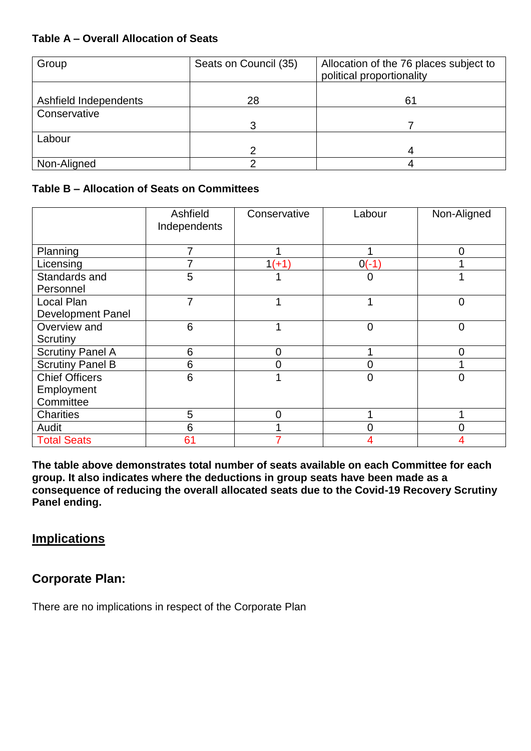#### **Table A – Overall Allocation of Seats**

| Group                 | Seats on Council (35) | Allocation of the 76 places subject to<br>political proportionality |
|-----------------------|-----------------------|---------------------------------------------------------------------|
| Ashfield Independents | 28                    | 61                                                                  |
| Conservative          |                       |                                                                     |
|                       | 3                     |                                                                     |
| Labour                |                       |                                                                     |
|                       | ◠                     | Δ                                                                   |
| Non-Aligned           |                       | Λ                                                                   |

#### **Table B – Allocation of Seats on Committees**

|                          | Ashfield<br>Independents | Conservative | Labour         | Non-Aligned    |
|--------------------------|--------------------------|--------------|----------------|----------------|
|                          |                          |              |                |                |
| Planning                 |                          |              |                | 0              |
| Licensing                |                          | $1(+1)$      | $O(-1)$        |                |
| Standards and            | 5                        |              |                |                |
| Personnel                |                          |              |                |                |
| Local Plan               | 7                        |              |                | $\overline{0}$ |
| <b>Development Panel</b> |                          |              |                |                |
| Overview and             | 6                        |              | $\overline{0}$ | $\overline{0}$ |
| Scrutiny                 |                          |              |                |                |
| <b>Scrutiny Panel A</b>  | 6                        | $\Omega$     |                | 0              |
| <b>Scrutiny Panel B</b>  | 6                        |              |                |                |
| <b>Chief Officers</b>    | 6                        |              | 0              | 0              |
| Employment               |                          |              |                |                |
| Committee                |                          |              |                |                |
| <b>Charities</b>         | 5                        | $\Omega$     |                |                |
| Audit                    | 6                        |              |                | 0              |
| <b>Total Seats</b>       | 61                       |              |                |                |

**The table above demonstrates total number of seats available on each Committee for each group. It also indicates where the deductions in group seats have been made as a consequence of reducing the overall allocated seats due to the Covid-19 Recovery Scrutiny Panel ending.**

# **Implications**

#### **Corporate Plan:**

There are no implications in respect of the Corporate Plan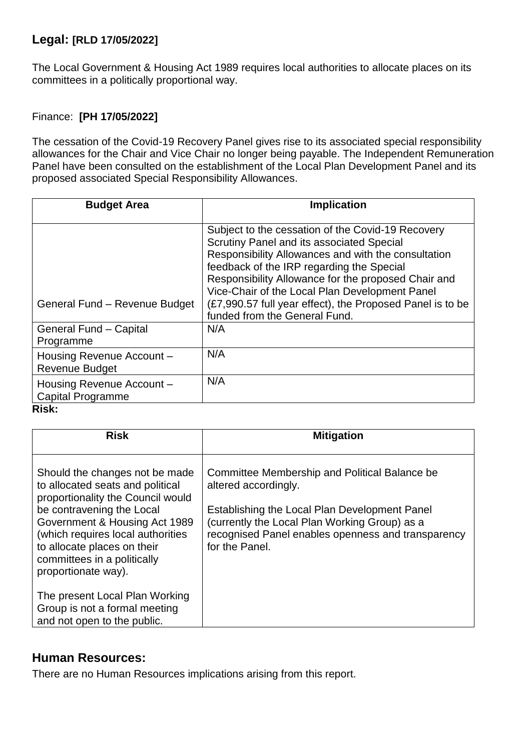## **Legal: [RLD 17/05/2022]**

The Local Government & Housing Act 1989 requires local authorities to allocate places on its committees in a politically proportional way.

#### Finance: **[PH 17/05/2022]**

The cessation of the Covid-19 Recovery Panel gives rise to its associated special responsibility allowances for the Chair and Vice Chair no longer being payable. The Independent Remuneration Panel have been consulted on the establishment of the Local Plan Development Panel and its proposed associated Special Responsibility Allowances.

| <b>Budget Area</b>                                    | <b>Implication</b>                                                                                                                                                                                                                                                                                                                                                                                        |
|-------------------------------------------------------|-----------------------------------------------------------------------------------------------------------------------------------------------------------------------------------------------------------------------------------------------------------------------------------------------------------------------------------------------------------------------------------------------------------|
| General Fund - Revenue Budget                         | Subject to the cessation of the Covid-19 Recovery<br>Scrutiny Panel and its associated Special<br>Responsibility Allowances and with the consultation<br>feedback of the IRP regarding the Special<br>Responsibility Allowance for the proposed Chair and<br>Vice-Chair of the Local Plan Development Panel<br>(£7,990.57 full year effect), the Proposed Panel is to be<br>funded from the General Fund. |
| General Fund - Capital<br>Programme                   | N/A                                                                                                                                                                                                                                                                                                                                                                                                       |
| Housing Revenue Account -<br><b>Revenue Budget</b>    | N/A                                                                                                                                                                                                                                                                                                                                                                                                       |
| Housing Revenue Account -<br><b>Capital Programme</b> | N/A                                                                                                                                                                                                                                                                                                                                                                                                       |
| <b>Risk:</b>                                          |                                                                                                                                                                                                                                                                                                                                                                                                           |

| <b>Risk</b>                                                                                                                                                                                                                                                                                     | <b>Mitigation</b>                                                                                                                                                                                                                               |
|-------------------------------------------------------------------------------------------------------------------------------------------------------------------------------------------------------------------------------------------------------------------------------------------------|-------------------------------------------------------------------------------------------------------------------------------------------------------------------------------------------------------------------------------------------------|
| Should the changes not be made<br>to allocated seats and political<br>proportionality the Council would<br>be contravening the Local<br>Government & Housing Act 1989<br>(which requires local authorities<br>to allocate places on their<br>committees in a politically<br>proportionate way). | Committee Membership and Political Balance be<br>altered accordingly.<br>Establishing the Local Plan Development Panel<br>(currently the Local Plan Working Group) as a<br>recognised Panel enables openness and transparency<br>for the Panel. |
| The present Local Plan Working<br>Group is not a formal meeting<br>and not open to the public.                                                                                                                                                                                                  |                                                                                                                                                                                                                                                 |

#### **Human Resources:**

There are no Human Resources implications arising from this report.